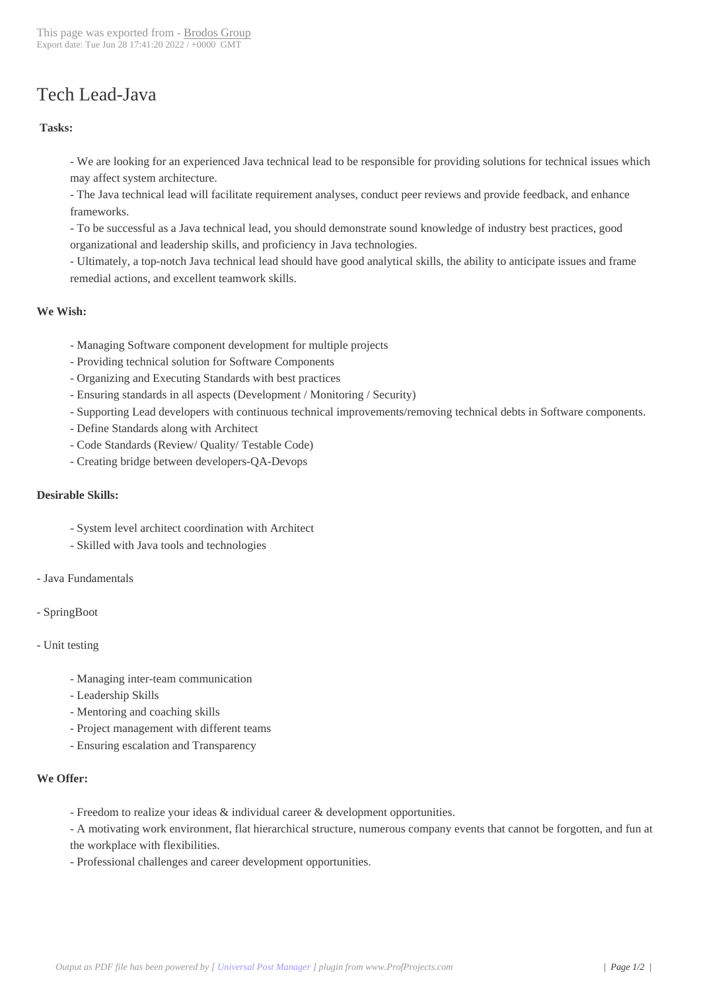# Tech Lead-Java

#### **Tasks:**

- We are looking for an experienced Java technical lead to be responsible for providing solutions for technical issues which may affect system architecture.
- The Java technical lead will facilitate requirement analyses, conduct peer reviews and provide feedback, and enhance frameworks.
- To be successful as a Java technical lead, you should demonstrate sound knowledge of industry best practices, good organizational and leadership skills, and proficiency in Java technologies.

 - Ultimately, a top-notch Java technical lead should have good analytical skills, the ability to anticipate issues and frame remedial actions, and excellent teamwork skills.

## **We Wish:**

- Managing Software component development for multiple projects
- Providing technical solution for Software Components
- Organizing and Executing Standards with best practices
- Ensuring standards in all aspects (Development / Monitoring / Security)
- Supporting Lead developers with continuous technical improvements/removing technical debts in Software components.
- Define Standards along with Architect
- Code Standards (Review/ Quality/ Testable Code)
- Creating bridge between developers-QA-Devops

### **Desirable Skills:**

- System level architect coordination with Architect
- Skilled with Java tools and technologies
- Java Fundamentals
- SpringBoot
- Unit testing
	- Managing inter-team communication
	- Leadership Skills
	- Mentoring and coaching skills
	- Project management with different teams
	- Ensuring escalation and Transparency

#### **We Offer:**

- Freedom to realize your ideas & individual career & development opportunities.
- A motivating work environment, flat hierarchical structure, numerous company events that cannot be forgotten, and fun at the workplace with flexibilities.
- Professional challenges and career development opportunities.